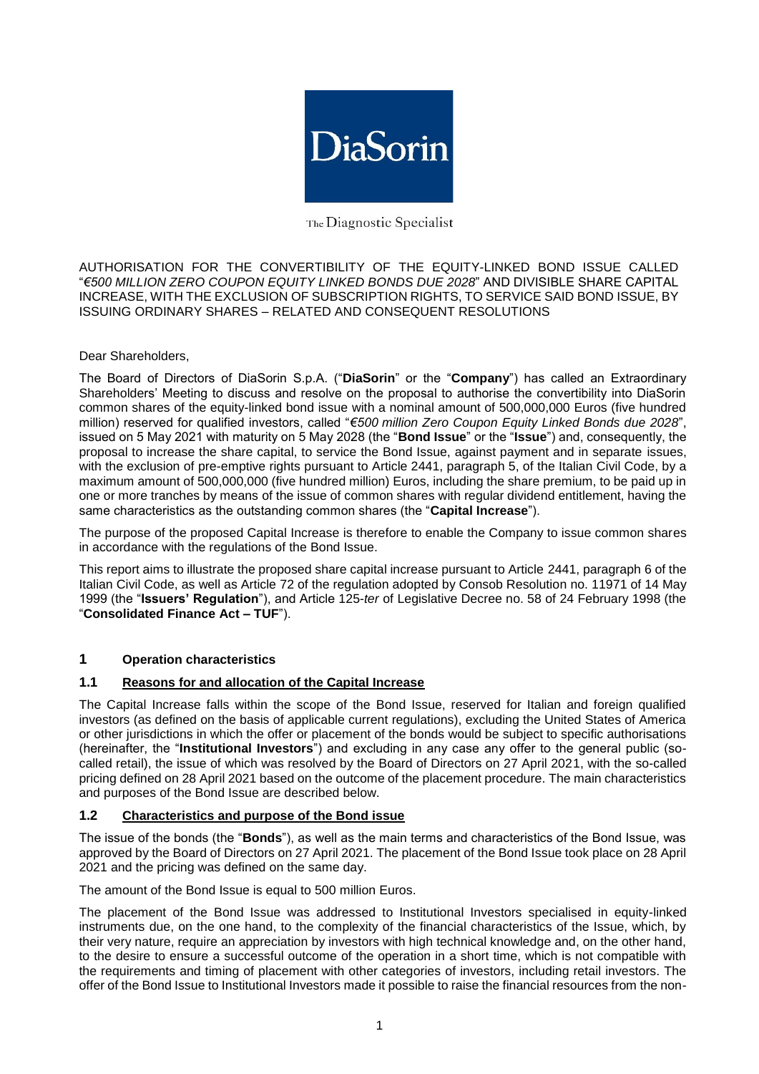

#### The Diagnostic Specialist

AUTHORISATION FOR THE CONVERTIBILITY OF THE EQUITY-LINKED BOND ISSUE CALLED "*€500 MILLION ZERO COUPON EQUITY LINKED BONDS DUE 2028*" AND DIVISIBLE SHARE CAPITAL INCREASE, WITH THE EXCLUSION OF SUBSCRIPTION RIGHTS, TO SERVICE SAID BOND ISSUE, BY ISSUING ORDINARY SHARES – RELATED AND CONSEQUENT RESOLUTIONS

#### Dear Shareholders,

The Board of Directors of DiaSorin S.p.A. ("**DiaSorin**" or the "**Company**") has called an Extraordinary Shareholders' Meeting to discuss and resolve on the proposal to authorise the convertibility into DiaSorin common shares of the equity-linked bond issue with a nominal amount of 500,000,000 Euros (five hundred million) reserved for qualified investors, called "*€500 million Zero Coupon Equity Linked Bonds due 2028*", issued on 5 May 2021 with maturity on 5 May 2028 (the "**Bond Issue**" or the "**Issue**") and, consequently, the proposal to increase the share capital, to service the Bond Issue, against payment and in separate issues, with the exclusion of pre-emptive rights pursuant to Article 2441, paragraph 5, of the Italian Civil Code, by a maximum amount of 500,000,000 (five hundred million) Euros, including the share premium, to be paid up in one or more tranches by means of the issue of common shares with regular dividend entitlement, having the same characteristics as the outstanding common shares (the "**Capital Increase**").

The purpose of the proposed Capital Increase is therefore to enable the Company to issue common shares in accordance with the regulations of the Bond Issue.

This report aims to illustrate the proposed share capital increase pursuant to Article 2441, paragraph 6 of the Italian Civil Code, as well as Article 72 of the regulation adopted by Consob Resolution no. 11971 of 14 May 1999 (the "**Issuers' Regulation**"), and Article 125-*ter* of Legislative Decree no. 58 of 24 February 1998 (the "**Consolidated Finance Act – TUF**").

# **1 Operation characteristics**

# **1.1 Reasons for and allocation of the Capital Increase**

The Capital Increase falls within the scope of the Bond Issue, reserved for Italian and foreign qualified investors (as defined on the basis of applicable current regulations), excluding the United States of America or other jurisdictions in which the offer or placement of the bonds would be subject to specific authorisations (hereinafter, the "**Institutional Investors**") and excluding in any case any offer to the general public (socalled retail), the issue of which was resolved by the Board of Directors on 27 April 2021, with the so-called pricing defined on 28 April 2021 based on the outcome of the placement procedure. The main characteristics and purposes of the Bond Issue are described below.

# **1.2 Characteristics and purpose of the Bond issue**

The issue of the bonds (the "**Bonds**"), as well as the main terms and characteristics of the Bond Issue, was approved by the Board of Directors on 27 April 2021. The placement of the Bond Issue took place on 28 April 2021 and the pricing was defined on the same day.

The amount of the Bond Issue is equal to 500 million Euros.

The placement of the Bond Issue was addressed to Institutional Investors specialised in equity-linked instruments due, on the one hand, to the complexity of the financial characteristics of the Issue, which, by their very nature, require an appreciation by investors with high technical knowledge and, on the other hand, to the desire to ensure a successful outcome of the operation in a short time, which is not compatible with the requirements and timing of placement with other categories of investors, including retail investors. The offer of the Bond Issue to Institutional Investors made it possible to raise the financial resources from the non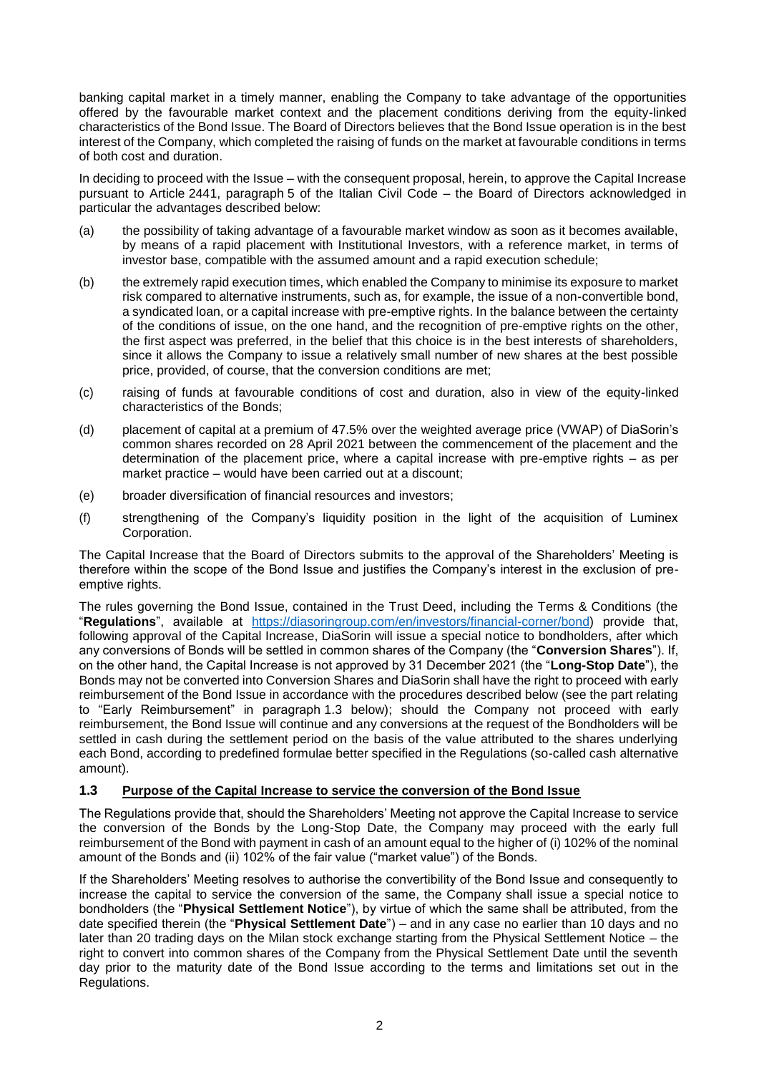banking capital market in a timely manner, enabling the Company to take advantage of the opportunities offered by the favourable market context and the placement conditions deriving from the equity-linked characteristics of the Bond Issue. The Board of Directors believes that the Bond Issue operation is in the best interest of the Company, which completed the raising of funds on the market at favourable conditions in terms of both cost and duration.

In deciding to proceed with the Issue – with the consequent proposal, herein, to approve the Capital Increase pursuant to Article 2441, paragraph 5 of the Italian Civil Code – the Board of Directors acknowledged in particular the advantages described below:

- (a) the possibility of taking advantage of a favourable market window as soon as it becomes available, by means of a rapid placement with Institutional Investors, with a reference market, in terms of investor base, compatible with the assumed amount and a rapid execution schedule;
- (b) the extremely rapid execution times, which enabled the Company to minimise its exposure to market risk compared to alternative instruments, such as, for example, the issue of a non-convertible bond, a syndicated loan, or a capital increase with pre-emptive rights. In the balance between the certainty of the conditions of issue, on the one hand, and the recognition of pre-emptive rights on the other, the first aspect was preferred, in the belief that this choice is in the best interests of shareholders, since it allows the Company to issue a relatively small number of new shares at the best possible price, provided, of course, that the conversion conditions are met;
- (c) raising of funds at favourable conditions of cost and duration, also in view of the equity-linked characteristics of the Bonds;
- (d) placement of capital at a premium of 47.5% over the weighted average price (VWAP) of DiaSorin's common shares recorded on 28 April 2021 between the commencement of the placement and the determination of the placement price, where a capital increase with pre-emptive rights – as per market practice – would have been carried out at a discount;
- (e) broader diversification of financial resources and investors;
- (f) strengthening of the Company's liquidity position in the light of the acquisition of Luminex Corporation.

The Capital Increase that the Board of Directors submits to the approval of the Shareholders' Meeting is therefore within the scope of the Bond Issue and justifies the Company's interest in the exclusion of preemptive rights.

The rules governing the Bond Issue, contained in the Trust Deed, including the Terms & Conditions (the "**Regulations**", available at [https://diasoringroup.com/en/investors/financial-corner/bond\)](https://diasoringroup.com/en/investors/financial-corner/bond) provide that, following approval of the Capital Increase, DiaSorin will issue a special notice to bondholders, after which any conversions of Bonds will be settled in common shares of the Company (the "**Conversion Shares**"). If, on the other hand, the Capital Increase is not approved by 31 December 2021 (the "**Long-Stop Date**"), the Bonds may not be converted into Conversion Shares and DiaSorin shall have the right to proceed with early reimbursement of the Bond Issue in accordance with the procedures described below (see the part relating to "Early Reimbursement" in paragraph 1.3 below); should the Company not proceed with early reimbursement, the Bond Issue will continue and any conversions at the request of the Bondholders will be settled in cash during the settlement period on the basis of the value attributed to the shares underlying each Bond, according to predefined formulae better specified in the Regulations (so-called cash alternative amount).

# **1.3 Purpose of the Capital Increase to service the conversion of the Bond Issue**

The Regulations provide that, should the Shareholders' Meeting not approve the Capital Increase to service the conversion of the Bonds by the Long-Stop Date, the Company may proceed with the early full reimbursement of the Bond with payment in cash of an amount equal to the higher of (i) 102% of the nominal amount of the Bonds and (ii) 102% of the fair value ("market value") of the Bonds.

If the Shareholders' Meeting resolves to authorise the convertibility of the Bond Issue and consequently to increase the capital to service the conversion of the same, the Company shall issue a special notice to bondholders (the "**Physical Settlement Notice**"), by virtue of which the same shall be attributed, from the date specified therein (the "**Physical Settlement Date**") – and in any case no earlier than 10 days and no later than 20 trading days on the Milan stock exchange starting from the Physical Settlement Notice – the right to convert into common shares of the Company from the Physical Settlement Date until the seventh day prior to the maturity date of the Bond Issue according to the terms and limitations set out in the Regulations.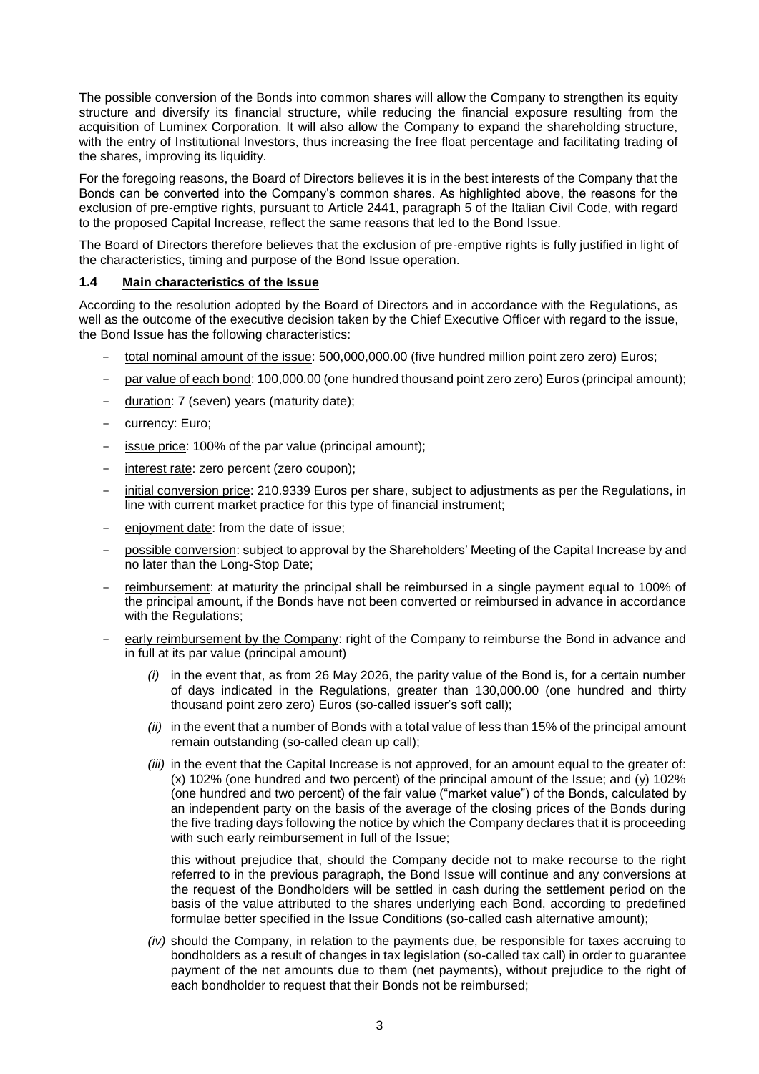The possible conversion of the Bonds into common shares will allow the Company to strengthen its equity structure and diversify its financial structure, while reducing the financial exposure resulting from the acquisition of Luminex Corporation. It will also allow the Company to expand the shareholding structure, with the entry of Institutional Investors, thus increasing the free float percentage and facilitating trading of the shares, improving its liquidity.

For the foregoing reasons, the Board of Directors believes it is in the best interests of the Company that the Bonds can be converted into the Company's common shares. As highlighted above, the reasons for the exclusion of pre-emptive rights, pursuant to Article 2441, paragraph 5 of the Italian Civil Code, with regard to the proposed Capital Increase, reflect the same reasons that led to the Bond Issue.

The Board of Directors therefore believes that the exclusion of pre-emptive rights is fully justified in light of the characteristics, timing and purpose of the Bond Issue operation.

#### **1.4 Main characteristics of the Issue**

According to the resolution adopted by the Board of Directors and in accordance with the Regulations, as well as the outcome of the executive decision taken by the Chief Executive Officer with regard to the issue, the Bond Issue has the following characteristics:

- total nominal amount of the issue: 500,000,000.00 (five hundred million point zero zero) Euros;
- par value of each bond: 100,000.00 (one hundred thousand point zero zero) Euros (principal amount);
- duration: 7 (seven) years (maturity date);
- currency: Euro;
- issue price: 100% of the par value (principal amount);
- interest rate: zero percent (zero coupon);
- initial conversion price: 210.9339 Euros per share, subject to adjustments as per the Regulations, in line with current market practice for this type of financial instrument;
- enjoyment date: from the date of issue;
- possible conversion: subject to approval by the Shareholders' Meeting of the Capital Increase by and no later than the Long-Stop Date;
- reimbursement: at maturity the principal shall be reimbursed in a single payment equal to 100% of the principal amount, if the Bonds have not been converted or reimbursed in advance in accordance with the Regulations;
- early reimbursement by the Company: right of the Company to reimburse the Bond in advance and in full at its par value (principal amount)
	- *(i)* in the event that, as from 26 May 2026, the parity value of the Bond is, for a certain number of days indicated in the Regulations, greater than 130,000.00 (one hundred and thirty thousand point zero zero) Euros (so-called issuer's soft call);
	- *(ii)* in the event that a number of Bonds with a total value of less than 15% of the principal amount remain outstanding (so-called clean up call);
	- *(iii)* in the event that the Capital Increase is not approved, for an amount equal to the greater of: (x) 102% (one hundred and two percent) of the principal amount of the Issue; and (y) 102% (one hundred and two percent) of the fair value ("market value") of the Bonds, calculated by an independent party on the basis of the average of the closing prices of the Bonds during the five trading days following the notice by which the Company declares that it is proceeding with such early reimbursement in full of the Issue;

this without prejudice that, should the Company decide not to make recourse to the right referred to in the previous paragraph, the Bond Issue will continue and any conversions at the request of the Bondholders will be settled in cash during the settlement period on the basis of the value attributed to the shares underlying each Bond, according to predefined formulae better specified in the Issue Conditions (so-called cash alternative amount);

*(iv)* should the Company, in relation to the payments due, be responsible for taxes accruing to bondholders as a result of changes in tax legislation (so-called tax call) in order to guarantee payment of the net amounts due to them (net payments), without prejudice to the right of each bondholder to request that their Bonds not be reimbursed;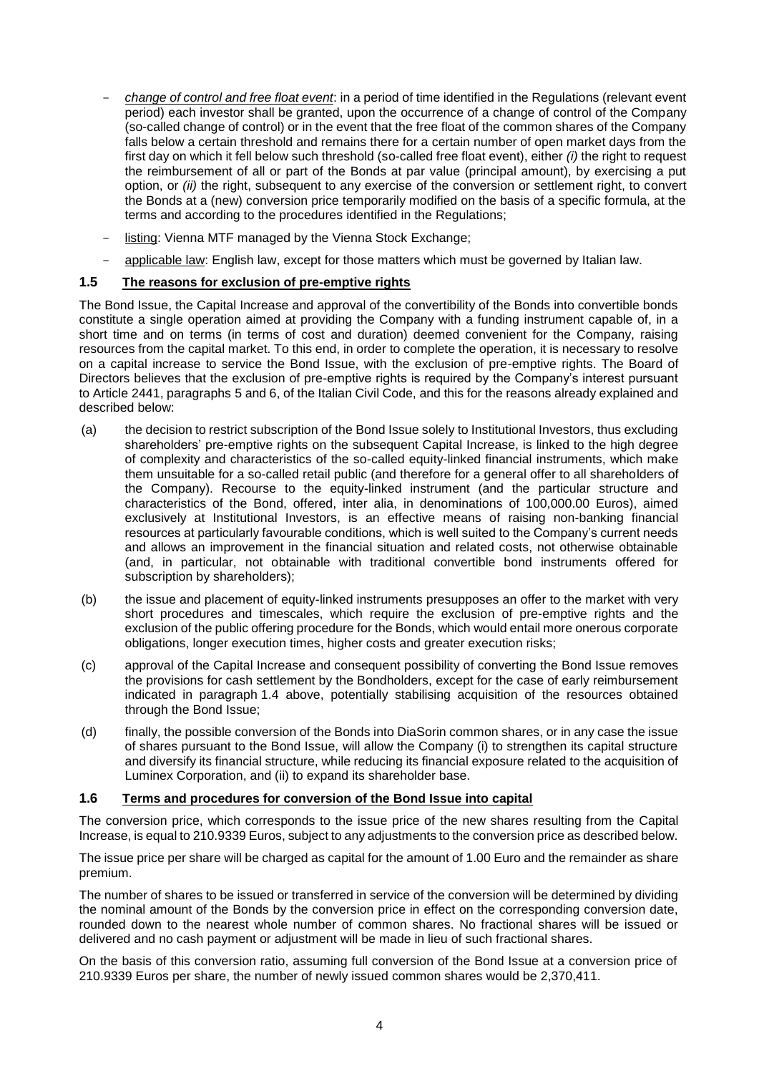- *change of control and free float event*: in a period of time identified in the Regulations (relevant event period) each investor shall be granted, upon the occurrence of a change of control of the Company (so-called change of control) or in the event that the free float of the common shares of the Company falls below a certain threshold and remains there for a certain number of open market days from the first day on which it fell below such threshold (so-called free float event), either *(i)* the right to request the reimbursement of all or part of the Bonds at par value (principal amount), by exercising a put option, or *(ii)* the right, subsequent to any exercise of the conversion or settlement right, to convert the Bonds at a (new) conversion price temporarily modified on the basis of a specific formula, at the terms and according to the procedures identified in the Regulations;
- listing: Vienna MTF managed by the Vienna Stock Exchange;
- applicable law: English law, except for those matters which must be governed by Italian law.

# **1.5 The reasons for exclusion of pre-emptive rights**

The Bond Issue, the Capital Increase and approval of the convertibility of the Bonds into convertible bonds constitute a single operation aimed at providing the Company with a funding instrument capable of, in a short time and on terms (in terms of cost and duration) deemed convenient for the Company, raising resources from the capital market. To this end, in order to complete the operation, it is necessary to resolve on a capital increase to service the Bond Issue, with the exclusion of pre-emptive rights. The Board of Directors believes that the exclusion of pre-emptive rights is required by the Company's interest pursuant to Article 2441, paragraphs 5 and 6, of the Italian Civil Code, and this for the reasons already explained and described below:

- (a) the decision to restrict subscription of the Bond Issue solely to Institutional Investors, thus excluding shareholders' pre-emptive rights on the subsequent Capital Increase, is linked to the high degree of complexity and characteristics of the so-called equity-linked financial instruments, which make them unsuitable for a so-called retail public (and therefore for a general offer to all shareholders of the Company). Recourse to the equity-linked instrument (and the particular structure and characteristics of the Bond, offered, inter alia, in denominations of 100,000.00 Euros), aimed exclusively at Institutional Investors, is an effective means of raising non-banking financial resources at particularly favourable conditions, which is well suited to the Company's current needs and allows an improvement in the financial situation and related costs, not otherwise obtainable (and, in particular, not obtainable with traditional convertible bond instruments offered for subscription by shareholders);
- (b) the issue and placement of equity-linked instruments presupposes an offer to the market with very short procedures and timescales, which require the exclusion of pre-emptive rights and the exclusion of the public offering procedure for the Bonds, which would entail more onerous corporate obligations, longer execution times, higher costs and greater execution risks;
- (c) approval of the Capital Increase and consequent possibility of converting the Bond Issue removes the provisions for cash settlement by the Bondholders, except for the case of early reimbursement indicated in paragraph 1.4 above, potentially stabilising acquisition of the resources obtained through the Bond Issue;
- (d) finally, the possible conversion of the Bonds into DiaSorin common shares, or in any case the issue of shares pursuant to the Bond Issue, will allow the Company (i) to strengthen its capital structure and diversify its financial structure, while reducing its financial exposure related to the acquisition of Luminex Corporation, and (ii) to expand its shareholder base.

#### **1.6 Terms and procedures for conversion of the Bond Issue into capital**

The conversion price, which corresponds to the issue price of the new shares resulting from the Capital Increase, is equal to 210.9339 Euros, subject to any adjustments to the conversion price as described below.

The issue price per share will be charged as capital for the amount of 1.00 Euro and the remainder as share premium.

The number of shares to be issued or transferred in service of the conversion will be determined by dividing the nominal amount of the Bonds by the conversion price in effect on the corresponding conversion date, rounded down to the nearest whole number of common shares. No fractional shares will be issued or delivered and no cash payment or adjustment will be made in lieu of such fractional shares.

On the basis of this conversion ratio, assuming full conversion of the Bond Issue at a conversion price of 210.9339 Euros per share, the number of newly issued common shares would be 2,370,411.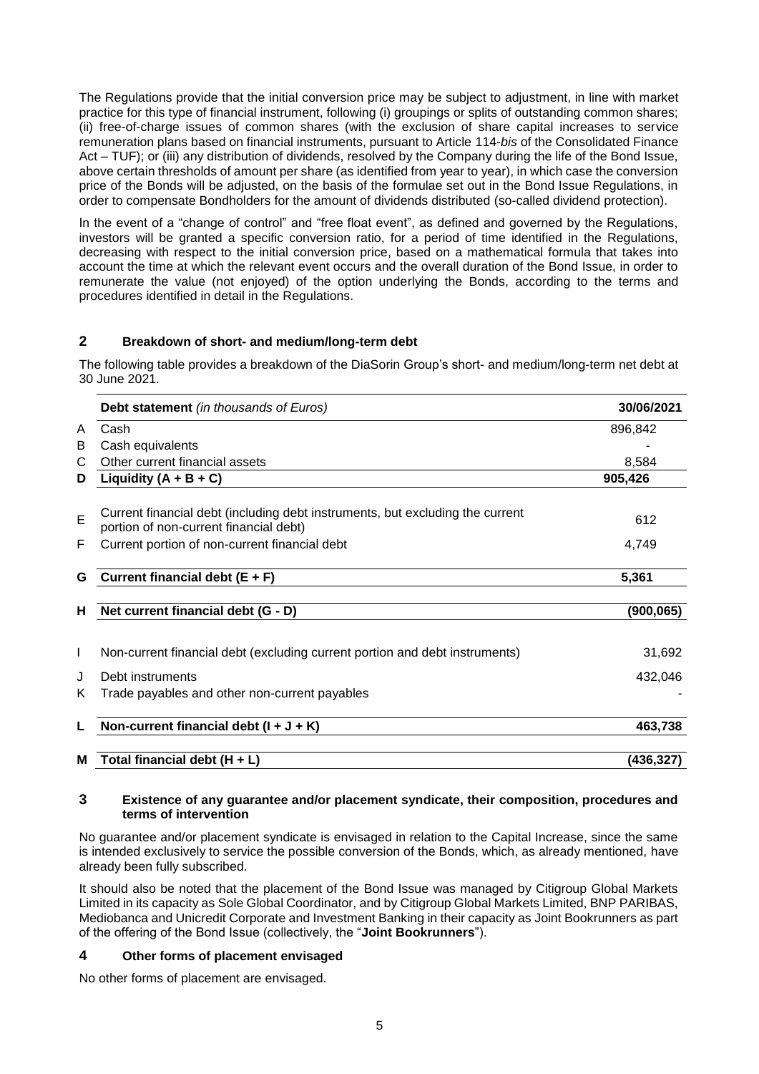The Regulations provide that the initial conversion price may be subject to adjustment, in line with market practice for this type of financial instrument, following (i) groupings or splits of outstanding common shares; (ii) free-of-charge issues of common shares (with the exclusion of share capital increases to service remuneration plans based on financial instruments, pursuant to Article 114-*bis* of the Consolidated Finance Act – TUF); or (iii) any distribution of dividends, resolved by the Company during the life of the Bond Issue, above certain thresholds of amount per share (as identified from year to year), in which case the conversion price of the Bonds will be adjusted, on the basis of the formulae set out in the Bond Issue Regulations, in order to compensate Bondholders for the amount of dividends distributed (so-called dividend protection).

In the event of a "change of control" and "free float event", as defined and governed by the Regulations, investors will be granted a specific conversion ratio, for a period of time identified in the Regulations, decreasing with respect to the initial conversion price, based on a mathematical formula that takes into account the time at which the relevant event occurs and the overall duration of the Bond Issue, in order to remunerate the value (not enjoyed) of the option underlying the Bonds, according to the terms and procedures identified in detail in the Regulations.

# **2 Breakdown of short- and medium/long-term debt**

The following table provides a breakdown of the DiaSorin Group's short- and medium/long-term net debt at 30 June 2021.

|   | Debt statement (in thousands of Euros)                                                                                  | 30/06/2021     |  |
|---|-------------------------------------------------------------------------------------------------------------------------|----------------|--|
| A | Cash                                                                                                                    | 896,842        |  |
| B | Cash equivalents                                                                                                        | 8,584          |  |
| С | Other current financial assets                                                                                          |                |  |
| D | Liquidity $(A + B + C)$                                                                                                 | 905,426        |  |
| E | Current financial debt (including debt instruments, but excluding the current<br>portion of non-current financial debt) | 612            |  |
| F | Current portion of non-current financial debt                                                                           | 4,749<br>5,361 |  |
| G | Current financial debt $(E + F)$                                                                                        |                |  |
| н | Net current financial debt (G - D)                                                                                      | (900,065)      |  |
| L | Non-current financial debt (excluding current portion and debt instruments)                                             | 31,692         |  |
| J | Debt instruments                                                                                                        | 432,046        |  |
| Κ | Trade payables and other non-current payables                                                                           |                |  |
|   | Non-current financial debt $(I + J + K)$                                                                                | 463,738        |  |
| М | Total financial debt $(H + L)$                                                                                          | (436,327)      |  |

# **3 Existence of any guarantee and/or placement syndicate, their composition, procedures and terms of intervention**

No guarantee and/or placement syndicate is envisaged in relation to the Capital Increase, since the same is intended exclusively to service the possible conversion of the Bonds, which, as already mentioned, have already been fully subscribed.

It should also be noted that the placement of the Bond Issue was managed by Citigroup Global Markets Limited in its capacity as Sole Global Coordinator, and by Citigroup Global Markets Limited, BNP PARIBAS, Mediobanca and Unicredit Corporate and Investment Banking in their capacity as Joint Bookrunners as part of the offering of the Bond Issue (collectively, the "**Joint Bookrunners**").

# **4 Other forms of placement envisaged**

No other forms of placement are envisaged.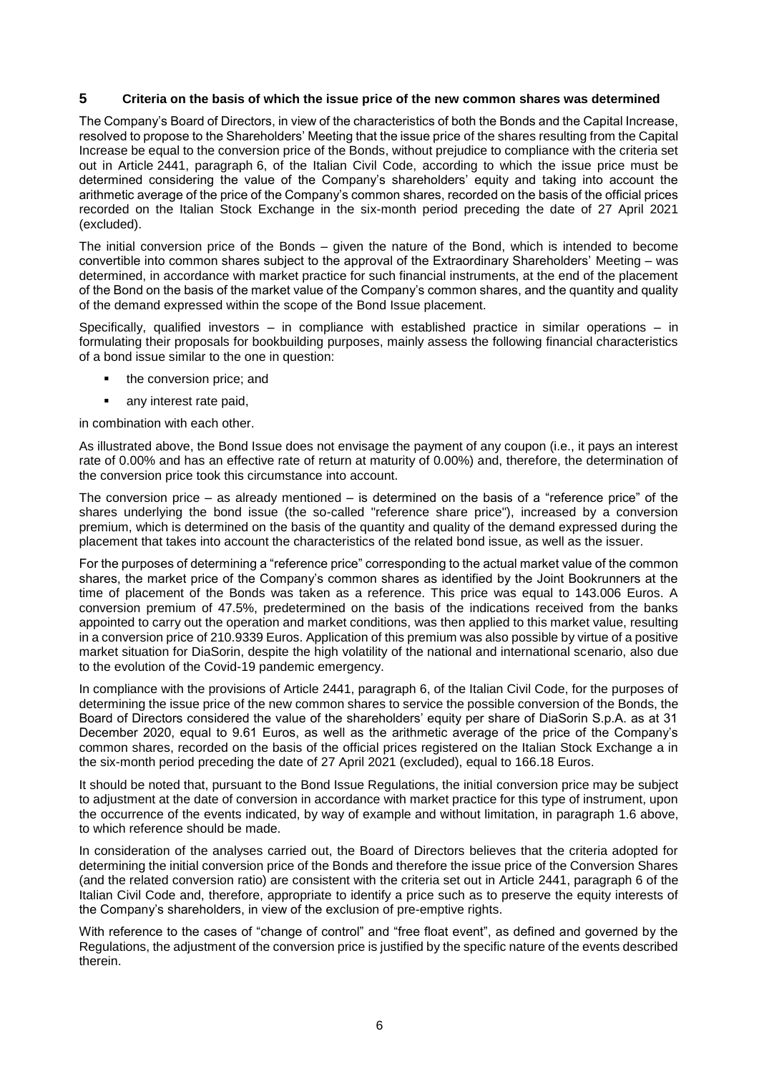#### **5 Criteria on the basis of which the issue price of the new common shares was determined**

The Company's Board of Directors, in view of the characteristics of both the Bonds and the Capital Increase, resolved to propose to the Shareholders' Meeting that the issue price of the shares resulting from the Capital Increase be equal to the conversion price of the Bonds, without prejudice to compliance with the criteria set out in Article 2441, paragraph 6, of the Italian Civil Code, according to which the issue price must be determined considering the value of the Company's shareholders' equity and taking into account the arithmetic average of the price of the Company's common shares, recorded on the basis of the official prices recorded on the Italian Stock Exchange in the six-month period preceding the date of 27 April 2021 (excluded).

The initial conversion price of the Bonds – given the nature of the Bond, which is intended to become convertible into common shares subject to the approval of the Extraordinary Shareholders' Meeting – was determined, in accordance with market practice for such financial instruments, at the end of the placement of the Bond on the basis of the market value of the Company's common shares, and the quantity and quality of the demand expressed within the scope of the Bond Issue placement.

Specifically, qualified investors – in compliance with established practice in similar operations – in formulating their proposals for bookbuilding purposes, mainly assess the following financial characteristics of a bond issue similar to the one in question:

- the conversion price; and
- any interest rate paid,

in combination with each other.

As illustrated above, the Bond Issue does not envisage the payment of any coupon (i.e., it pays an interest rate of 0.00% and has an effective rate of return at maturity of 0.00%) and, therefore, the determination of the conversion price took this circumstance into account.

The conversion price – as already mentioned – is determined on the basis of a "reference price" of the shares underlying the bond issue (the so-called "reference share price"), increased by a conversion premium, which is determined on the basis of the quantity and quality of the demand expressed during the placement that takes into account the characteristics of the related bond issue, as well as the issuer.

For the purposes of determining a "reference price" corresponding to the actual market value of the common shares, the market price of the Company's common shares as identified by the Joint Bookrunners at the time of placement of the Bonds was taken as a reference. This price was equal to 143.006 Euros. A conversion premium of 47.5%, predetermined on the basis of the indications received from the banks appointed to carry out the operation and market conditions, was then applied to this market value, resulting in a conversion price of 210.9339 Euros. Application of this premium was also possible by virtue of a positive market situation for DiaSorin, despite the high volatility of the national and international scenario, also due to the evolution of the Covid-19 pandemic emergency.

In compliance with the provisions of Article 2441, paragraph 6, of the Italian Civil Code, for the purposes of determining the issue price of the new common shares to service the possible conversion of the Bonds, the Board of Directors considered the value of the shareholders' equity per share of DiaSorin S.p.A. as at 31 December 2020, equal to 9.61 Euros, as well as the arithmetic average of the price of the Company's common shares, recorded on the basis of the official prices registered on the Italian Stock Exchange a in the six-month period preceding the date of 27 April 2021 (excluded), equal to 166.18 Euros.

It should be noted that, pursuant to the Bond Issue Regulations, the initial conversion price may be subject to adjustment at the date of conversion in accordance with market practice for this type of instrument, upon the occurrence of the events indicated, by way of example and without limitation, in paragraph 1.6 above, to which reference should be made.

In consideration of the analyses carried out, the Board of Directors believes that the criteria adopted for determining the initial conversion price of the Bonds and therefore the issue price of the Conversion Shares (and the related conversion ratio) are consistent with the criteria set out in Article 2441, paragraph 6 of the Italian Civil Code and, therefore, appropriate to identify a price such as to preserve the equity interests of the Company's shareholders, in view of the exclusion of pre-emptive rights.

With reference to the cases of "change of control" and "free float event", as defined and governed by the Regulations, the adjustment of the conversion price is justified by the specific nature of the events described therein.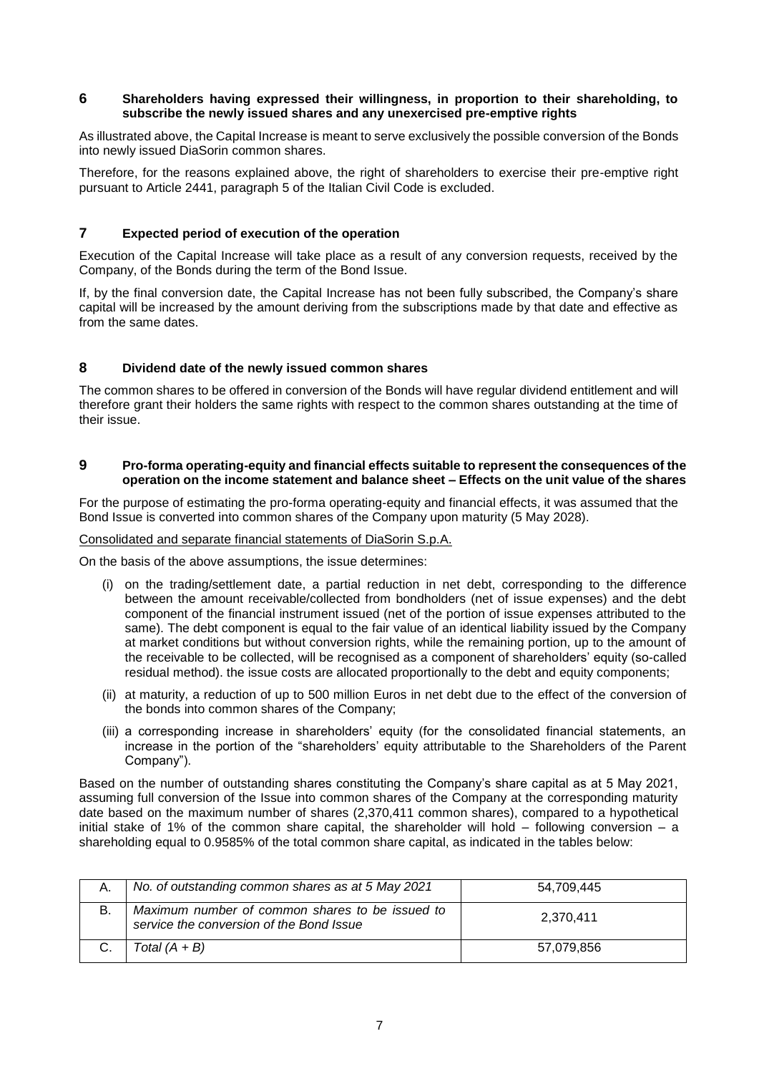#### **6 Shareholders having expressed their willingness, in proportion to their shareholding, to subscribe the newly issued shares and any unexercised pre-emptive rights**

As illustrated above, the Capital Increase is meant to serve exclusively the possible conversion of the Bonds into newly issued DiaSorin common shares.

Therefore, for the reasons explained above, the right of shareholders to exercise their pre-emptive right pursuant to Article 2441, paragraph 5 of the Italian Civil Code is excluded.

# **7 Expected period of execution of the operation**

Execution of the Capital Increase will take place as a result of any conversion requests, received by the Company, of the Bonds during the term of the Bond Issue.

If, by the final conversion date, the Capital Increase has not been fully subscribed, the Company's share capital will be increased by the amount deriving from the subscriptions made by that date and effective as from the same dates.

# **8 Dividend date of the newly issued common shares**

The common shares to be offered in conversion of the Bonds will have regular dividend entitlement and will therefore grant their holders the same rights with respect to the common shares outstanding at the time of their issue.

#### **9 Pro-forma operating-equity and financial effects suitable to represent the consequences of the operation on the income statement and balance sheet – Effects on the unit value of the shares**

For the purpose of estimating the pro-forma operating-equity and financial effects, it was assumed that the Bond Issue is converted into common shares of the Company upon maturity (5 May 2028).

#### Consolidated and separate financial statements of DiaSorin S.p.A.

On the basis of the above assumptions, the issue determines:

- (i) on the trading/settlement date, a partial reduction in net debt, corresponding to the difference between the amount receivable/collected from bondholders (net of issue expenses) and the debt component of the financial instrument issued (net of the portion of issue expenses attributed to the same). The debt component is equal to the fair value of an identical liability issued by the Company at market conditions but without conversion rights, while the remaining portion, up to the amount of the receivable to be collected, will be recognised as a component of shareholders' equity (so-called residual method). the issue costs are allocated proportionally to the debt and equity components;
- (ii) at maturity, a reduction of up to 500 million Euros in net debt due to the effect of the conversion of the bonds into common shares of the Company;
- (iii) a corresponding increase in shareholders' equity (for the consolidated financial statements, an increase in the portion of the "shareholders' equity attributable to the Shareholders of the Parent Company").

Based on the number of outstanding shares constituting the Company's share capital as at 5 May 2021, assuming full conversion of the Issue into common shares of the Company at the corresponding maturity date based on the maximum number of shares (2,370,411 common shares), compared to a hypothetical initial stake of 1% of the common share capital, the shareholder will hold  $-$  following conversion  $-$  a shareholding equal to 0.9585% of the total common share capital, as indicated in the tables below:

| А. | No. of outstanding common shares as at 5 May 2021                                           | 54,709,445 |
|----|---------------------------------------------------------------------------------------------|------------|
|    | Maximum number of common shares to be issued to<br>service the conversion of the Bond Issue | 2,370,411  |
|    | Total $(A + B)$                                                                             | 57,079,856 |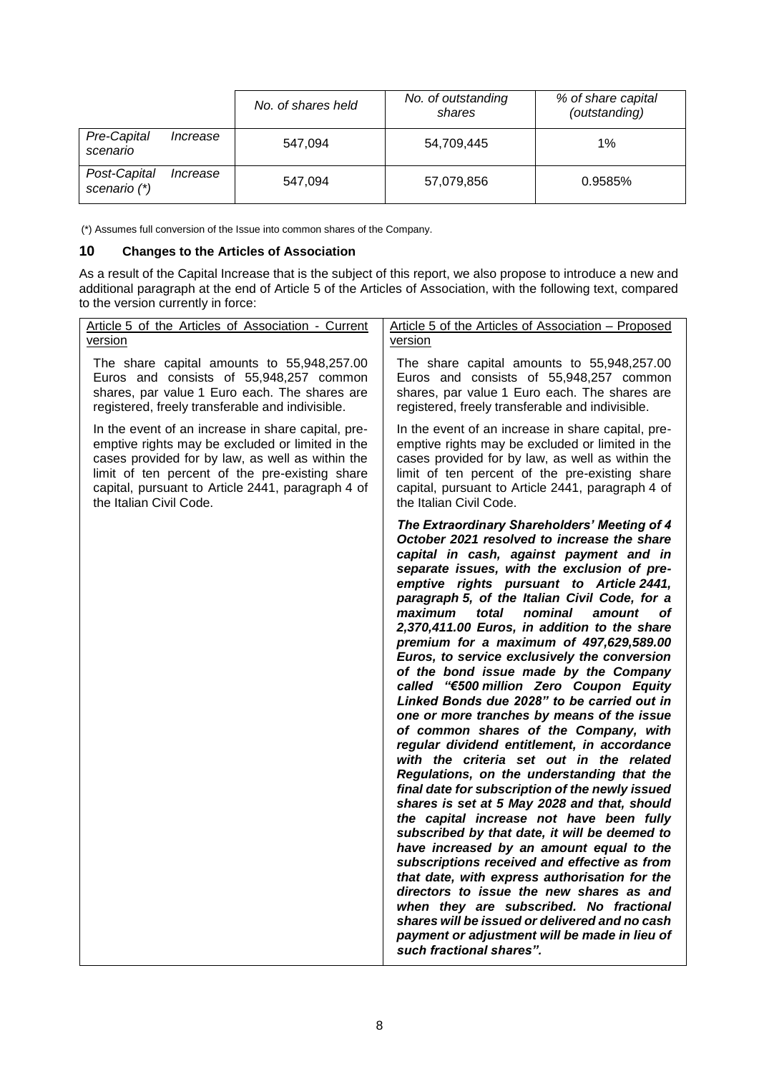|                              |          | No. of shares held | No. of outstanding<br>shares | % of share capital<br>(outstanding) |
|------------------------------|----------|--------------------|------------------------------|-------------------------------------|
| Pre-Capital<br>scenario      | Increase | 547.094            | 54,709,445                   | $1\%$                               |
| Post-Capital<br>scenario (*) | Increase | 547.094            | 57,079,856                   | 0.9585%                             |

(\*) Assumes full conversion of the Issue into common shares of the Company.

# **10 Changes to the Articles of Association**

As a result of the Capital Increase that is the subject of this report, we also propose to introduce a new and additional paragraph at the end of Article 5 of the Articles of Association, with the following text, compared to the version currently in force:

| Article 5 of the Articles of Association - Current                                                                                                                                                                                                                                           | Article 5 of the Articles of Association - Proposed                                                                                                                                                                                                                                                                                                                                                                                                                                                                                                                                                                                                                                                                                                                                                                                                                                                                                                                                                                                                                                                                                                                                                                                                                                                                                                                                                                |
|----------------------------------------------------------------------------------------------------------------------------------------------------------------------------------------------------------------------------------------------------------------------------------------------|--------------------------------------------------------------------------------------------------------------------------------------------------------------------------------------------------------------------------------------------------------------------------------------------------------------------------------------------------------------------------------------------------------------------------------------------------------------------------------------------------------------------------------------------------------------------------------------------------------------------------------------------------------------------------------------------------------------------------------------------------------------------------------------------------------------------------------------------------------------------------------------------------------------------------------------------------------------------------------------------------------------------------------------------------------------------------------------------------------------------------------------------------------------------------------------------------------------------------------------------------------------------------------------------------------------------------------------------------------------------------------------------------------------------|
| version                                                                                                                                                                                                                                                                                      | version                                                                                                                                                                                                                                                                                                                                                                                                                                                                                                                                                                                                                                                                                                                                                                                                                                                                                                                                                                                                                                                                                                                                                                                                                                                                                                                                                                                                            |
| The share capital amounts to 55,948,257.00<br>Euros and consists of 55,948,257 common<br>shares, par value 1 Euro each. The shares are<br>registered, freely transferable and indivisible.                                                                                                   | The share capital amounts to 55,948,257.00<br>Euros and consists of 55,948,257 common<br>shares, par value 1 Euro each. The shares are<br>registered, freely transferable and indivisible.                                                                                                                                                                                                                                                                                                                                                                                                                                                                                                                                                                                                                                                                                                                                                                                                                                                                                                                                                                                                                                                                                                                                                                                                                         |
| In the event of an increase in share capital, pre-<br>emptive rights may be excluded or limited in the<br>cases provided for by law, as well as within the<br>limit of ten percent of the pre-existing share<br>capital, pursuant to Article 2441, paragraph 4 of<br>the Italian Civil Code. | In the event of an increase in share capital, pre-<br>emptive rights may be excluded or limited in the<br>cases provided for by law, as well as within the<br>limit of ten percent of the pre-existing share<br>capital, pursuant to Article 2441, paragraph 4 of<br>the Italian Civil Code.                                                                                                                                                                                                                                                                                                                                                                                                                                                                                                                                                                                                                                                                                                                                                                                                                                                                                                                                                                                                                                                                                                                       |
|                                                                                                                                                                                                                                                                                              | The Extraordinary Shareholders' Meeting of 4<br>October 2021 resolved to increase the share<br>capital in cash, against payment and in<br>separate issues, with the exclusion of pre-<br>emptive rights pursuant to Article 2441,<br>paragraph 5, of the Italian Civil Code, for a<br>total<br>nominal<br>maximum<br>amount<br>of<br>2,370,411.00 Euros, in addition to the share<br>premium for a maximum of 497,629,589.00<br>Euros, to service exclusively the conversion<br>of the bond issue made by the Company<br>called "€500 million Zero Coupon Equity<br>Linked Bonds due 2028" to be carried out in<br>one or more tranches by means of the issue<br>of common shares of the Company, with<br>regular dividend entitlement, in accordance<br>with the criteria set out in the related<br>Regulations, on the understanding that the<br>final date for subscription of the newly issued<br>shares is set at 5 May 2028 and that, should<br>the capital increase not have been fully<br>subscribed by that date, it will be deemed to<br>have increased by an amount equal to the<br>subscriptions received and effective as from<br>that date, with express authorisation for the<br>directors to issue the new shares as and<br>when they are subscribed. No fractional<br>shares will be issued or delivered and no cash<br>payment or adjustment will be made in lieu of<br>such fractional shares". |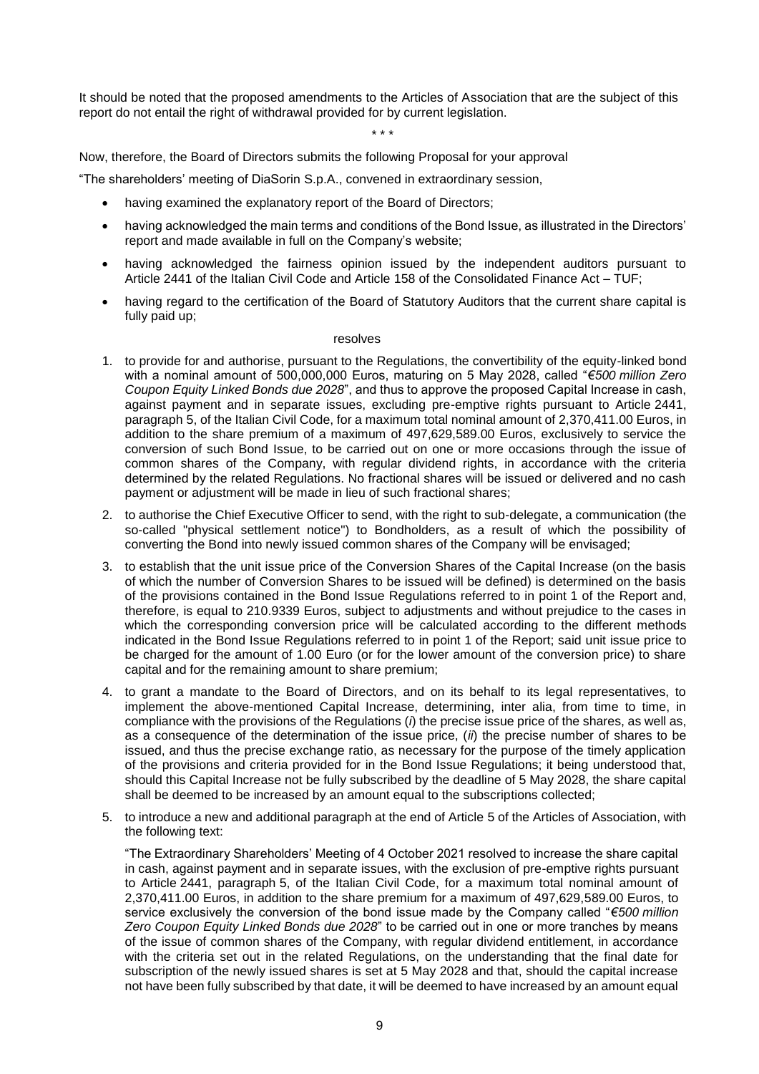It should be noted that the proposed amendments to the Articles of Association that are the subject of this report do not entail the right of withdrawal provided for by current legislation.

\* \* \*

Now, therefore, the Board of Directors submits the following Proposal for your approval

"The shareholders' meeting of DiaSorin S.p.A., convened in extraordinary session,

- having examined the explanatory report of the Board of Directors;
- having acknowledged the main terms and conditions of the Bond Issue, as illustrated in the Directors' report and made available in full on the Company's website;
- having acknowledged the fairness opinion issued by the independent auditors pursuant to Article 2441 of the Italian Civil Code and Article 158 of the Consolidated Finance Act – TUF;
- having regard to the certification of the Board of Statutory Auditors that the current share capital is fully paid up;

#### resolves

- 1. to provide for and authorise, pursuant to the Regulations, the convertibility of the equity-linked bond with a nominal amount of 500,000,000 Euros, maturing on 5 May 2028, called "*€500 million Zero Coupon Equity Linked Bonds due 2028*", and thus to approve the proposed Capital Increase in cash, against payment and in separate issues, excluding pre-emptive rights pursuant to Article 2441, paragraph 5, of the Italian Civil Code, for a maximum total nominal amount of 2,370,411.00 Euros, in addition to the share premium of a maximum of 497,629,589.00 Euros, exclusively to service the conversion of such Bond Issue, to be carried out on one or more occasions through the issue of common shares of the Company, with regular dividend rights, in accordance with the criteria determined by the related Regulations. No fractional shares will be issued or delivered and no cash payment or adjustment will be made in lieu of such fractional shares;
- 2. to authorise the Chief Executive Officer to send, with the right to sub-delegate, a communication (the so-called "physical settlement notice") to Bondholders, as a result of which the possibility of converting the Bond into newly issued common shares of the Company will be envisaged;
- 3. to establish that the unit issue price of the Conversion Shares of the Capital Increase (on the basis of which the number of Conversion Shares to be issued will be defined) is determined on the basis of the provisions contained in the Bond Issue Regulations referred to in point 1 of the Report and, therefore, is equal to 210.9339 Euros, subject to adjustments and without prejudice to the cases in which the corresponding conversion price will be calculated according to the different methods indicated in the Bond Issue Regulations referred to in point 1 of the Report; said unit issue price to be charged for the amount of 1.00 Euro (or for the lower amount of the conversion price) to share capital and for the remaining amount to share premium;
- 4. to grant a mandate to the Board of Directors, and on its behalf to its legal representatives, to implement the above-mentioned Capital Increase, determining, inter alia, from time to time, in compliance with the provisions of the Regulations (*i*) the precise issue price of the shares, as well as, as a consequence of the determination of the issue price, (*ii*) the precise number of shares to be issued, and thus the precise exchange ratio, as necessary for the purpose of the timely application of the provisions and criteria provided for in the Bond Issue Regulations; it being understood that, should this Capital Increase not be fully subscribed by the deadline of 5 May 2028, the share capital shall be deemed to be increased by an amount equal to the subscriptions collected;
- 5. to introduce a new and additional paragraph at the end of Article 5 of the Articles of Association, with the following text:

"The Extraordinary Shareholders' Meeting of 4 October 2021 resolved to increase the share capital in cash, against payment and in separate issues, with the exclusion of pre-emptive rights pursuant to Article 2441, paragraph 5, of the Italian Civil Code, for a maximum total nominal amount of 2,370,411.00 Euros, in addition to the share premium for a maximum of 497,629,589.00 Euros, to service exclusively the conversion of the bond issue made by the Company called "*€500 million Zero Coupon Equity Linked Bonds due 2028*" to be carried out in one or more tranches by means of the issue of common shares of the Company, with regular dividend entitlement, in accordance with the criteria set out in the related Regulations, on the understanding that the final date for subscription of the newly issued shares is set at 5 May 2028 and that, should the capital increase not have been fully subscribed by that date, it will be deemed to have increased by an amount equal